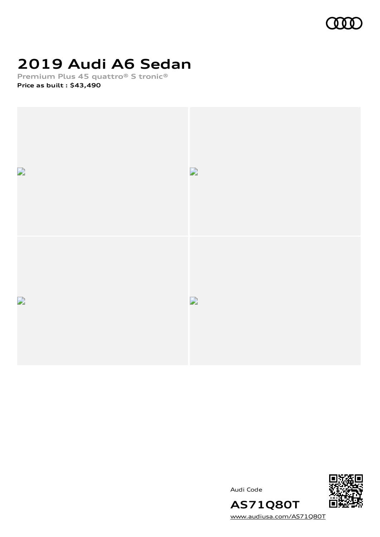

# **2019 Audi A6 Sedan**

**Premium Plus 45 quattro® S tronic® Price as built [:](#page-8-0) \$43,490**



Audi Code



**AS71Q80T** [www.audiusa.com/AS71Q80T](https://www.audiusa.com/AS71Q80T)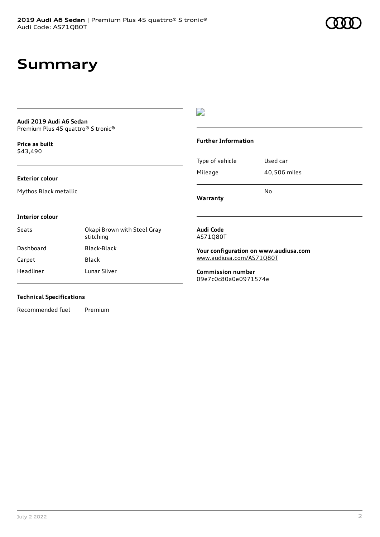## **Summary**

### **Audi 2019 Audi A6 Sedan** Premium Plus 45 quattro® S tronic®

**Price as buil[t](#page-8-0)** \$43,490

## $\overline{\phantom{a}}$

## **Further Information**

|                 | N٥           |
|-----------------|--------------|
| Mileage         | 40,506 miles |
| Type of vehicle | Used car     |

**Warranty**

#### **Interior colour**

**Exterior colour**

Mythos Black metallic

| Okapi Brown with Steel Gray<br>stitching |
|------------------------------------------|
| Black-Black                              |
| Black                                    |
| Lunar Silver                             |
|                                          |

### **Audi Code** AS71Q80T

**Your configuration on www.audiusa.com** [www.audiusa.com/AS71Q80T](https://www.audiusa.com/AS71Q80T)

**Commission number** 09e7c0c80a0e0971574e

## **Technical Specifications**

Recommended fuel Premium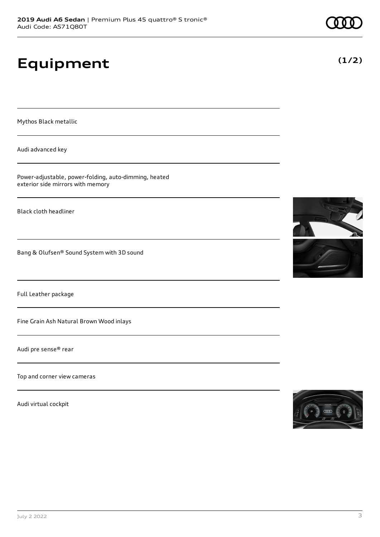# **Equipment**

Mythos Black metallic

Audi advanced key

Power-adjustable, power-folding, auto-dimming, heated exterior side mirrors with memory

Black cloth headliner

Bang & Olufsen® Sound System with 3D sound

Full Leather package

Fine Grain Ash Natural Brown Wood inlays

Audi pre sense® rear

Top and corner view cameras

Audi virtual cockpit







**(1/2)**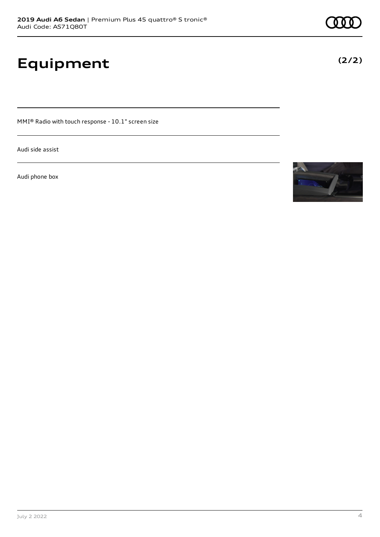# **Equipment**

MMI® Radio with touch response - 10.1" screen size

Audi side assist

Audi phone box





**(2/2)**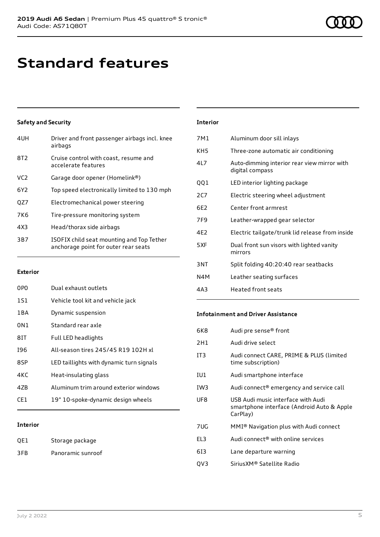## **Standard features**

## **Safety and Security**

| 4UH             | Driver and front passenger airbags incl. knee<br>airbags                          |
|-----------------|-----------------------------------------------------------------------------------|
| 8T <sub>2</sub> | Cruise control with coast, resume and<br>accelerate features                      |
| VC <sub>2</sub> | Garage door opener (Homelink®)                                                    |
| 6Y <sub>2</sub> | Top speed electronically limited to 130 mph                                       |
| OZ7             | Electromechanical power steering                                                  |
| 7K <sub>6</sub> | Tire-pressure monitoring system                                                   |
| 4X3             | Head/thorax side airbags                                                          |
| 3B7             | ISOFIX child seat mounting and Top Tether<br>anchorage point for outer rear seats |
|                 |                                                                                   |

### **Exterior**

| 0PO   | Dual exhaust outlets                     |
|-------|------------------------------------------|
| 1S1   | Vehicle tool kit and vehicle jack        |
| 1 B A | Dynamic suspension                       |
| 0N1   | Standard rear axle                       |
| 81T   | Full LED headlights                      |
| 196   | All-season tires 245/45 R19 102H xL      |
| 8SP   | LED taillights with dynamic turn signals |
| 4KC   | Heat-insulating glass                    |
| 47B   | Aluminum trim around exterior windows    |
| CF1.  | 19" 10-spoke-dynamic design wheels       |
|       |                                          |

## **Interior**

| QE1 | Storage package   |
|-----|-------------------|
| 3FB | Panoramic sunroof |

| <b>Interior</b> |                                                                |
|-----------------|----------------------------------------------------------------|
| 7M1             | Aluminum door sill inlays                                      |
| KH <sub>5</sub> | Three-zone automatic air conditioning                          |
| 41 7            | Auto-dimming interior rear view mirror with<br>digital compass |
| QQ1             | LED interior lighting package                                  |
| 2CZ             | Electric steering wheel adjustment                             |
| 6E2             | Center front armrest                                           |
| 7F9             | Leather-wrapped gear selector                                  |
| 4F2             | Electric tailgate/trunk lid release from inside                |
| 5XF             | Dual front sun visors with lighted vanity<br>mirrors           |
| 3NT             | Split folding 40:20:40 rear seatbacks                          |
| N4M             | Leather seating surfaces                                       |
| 4A3             | Heated front seats                                             |

## **Infotainment and Driver Assistance**

| 6K8             | Audi pre sense <sup>®</sup> front                                                            |
|-----------------|----------------------------------------------------------------------------------------------|
| 2H1             | Audi drive select                                                                            |
| IT <sub>3</sub> | Audi connect CARE, PRIME & PLUS (limited<br>time subscription)                               |
| IU1             | Audi smartphone interface                                                                    |
| IW <sub>3</sub> | Audi connect® emergency and service call                                                     |
| UF8             | USB Audi music interface with Audi<br>smartphone interface (Android Auto & Apple<br>CarPlay) |
| 7UG             | MMI® Navigation plus with Audi connect                                                       |
| EL <sub>3</sub> | Audi connect® with online services                                                           |
| 613             | Lane departure warning                                                                       |
| QV3             | Sirius XM® Satellite Radio                                                                   |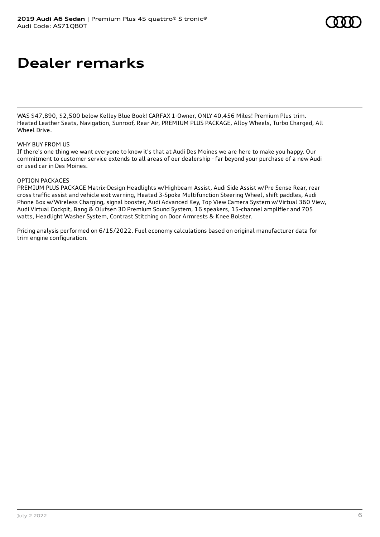## **Dealer remarks**

WAS \$47,890, \$2,500 below Kelley Blue Book! CARFAX 1-Owner, ONLY 40,456 Miles! Premium Plus trim. Heated Leather Seats, Navigation, Sunroof, Rear Air, PREMIUM PLUS PACKAGE, Alloy Wheels, Turbo Charged, All Wheel Drive.

## WHY BUY FROM US

If there's one thing we want everyone to know it's that at Audi Des Moines we are here to make you happy. Our commitment to customer service extends to all areas of our dealership - far beyond your purchase of a new Audi or used car in Des Moines.

### OPTION PACKAGES

PREMIUM PLUS PACKAGE Matrix-Design Headlights w/Highbeam Assist, Audi Side Assist w/Pre Sense Rear, rear cross traffic assist and vehicle exit warning, Heated 3-Spoke Multifunction Steering Wheel, shift paddles, Audi Phone Box w/Wireless Charging, signal booster, Audi Advanced Key, Top View Camera System w/Virtual 360 View, Audi Virtual Cockpit, Bang & Olufsen 3D Premium Sound System, 16 speakers, 15-channel amplifier and 705 watts, Headlight Washer System, Contrast Stitching on Door Armrests & Knee Bolster.

Pricing analysis performed on 6/15/2022. Fuel economy calculations based on original manufacturer data for trim engine configuration.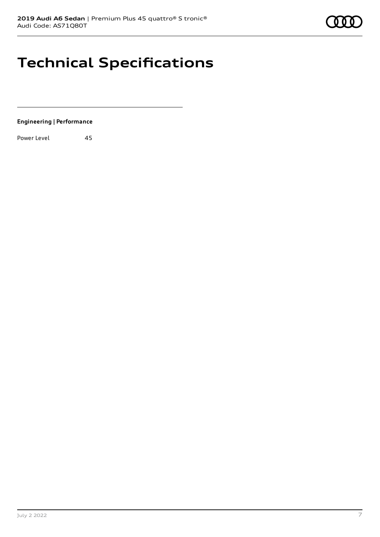

# **Technical Specifications**

**Engineering | Performance**

Power Level 45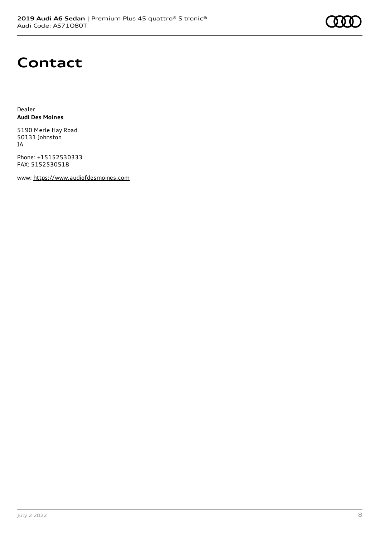## **Contact**

Dealer **Audi Des Moines**

5190 Merle Hay Road 50131 Johnston IA

Phone: +15152530333 FAX: 5152530518

www: [https://www.audiofdesmoines.com](https://www.audiofdesmoines.com/)